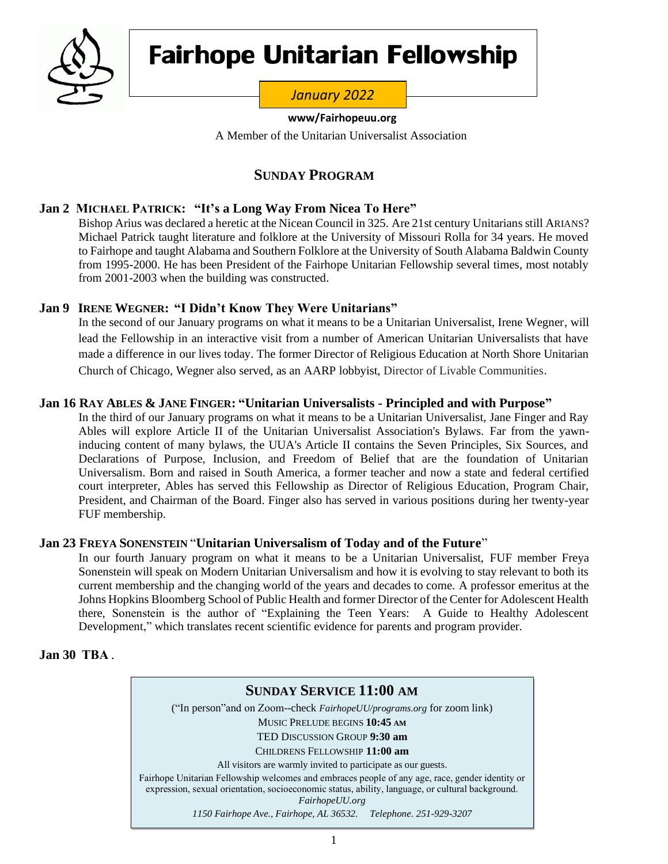

# F**airhope Unitarian Fellowship**

## *January 2022*

#### **www/Fairhopeuu.org**

A Member of the Unitarian Universalist Association

## **SUNDAY PROGRAM**

## **Jan 2 MICHAEL PATRICK: "It's a Long Way From Nicea To Here"**

Bishop Arius was declared a heretic at the Nicean Council in 325. Are 21st century Unitarians still ARIANS? Michael Patrick taught literature and folklore at the University of Missouri Rolla for 34 years. He moved to Fairhope and taught Alabama and Southern Folklore at the University of South Alabama Baldwin County from 1995-2000. He has been President of the Fairhope Unitarian Fellowship several times, most notably from 2001-2003 when the building was constructed.

## **Jan 9 IRENE WEGNER: "I Didn't Know They Were Unitarians"**

In the second of our January programs on what it means to be a Unitarian Universalist, Irene Wegner, will lead the Fellowship in an interactive visit from a number of American Unitarian Universalists that have made a difference in our lives today. The former Director of Religious Education at North Shore Unitarian Church of Chicago, Wegner also served, as an AARP lobbyist, Director of Livable Communities.

## **Jan 16 RAY ABLES & JANE FINGER: "Unitarian Universalists - Principled and with Purpose"**

In the third of our January programs on what it means to be a Unitarian Universalist, Jane Finger and Ray Ables will explore Article II of the Unitarian Universalist Association's Bylaws. Far from the yawninducing content of many bylaws, the UUA's Article II contains the Seven Principles, Six Sources, and Declarations of Purpose, Inclusion, and Freedom of Belief that are the foundation of Unitarian Universalism. Born and raised in South America, a former teacher and now a state and federal certified court interpreter, Ables has served this Fellowship as Director of Religious Education, Program Chair, President, and Chairman of the Board. Finger also has served in various positions during her twenty-year FUF membership.

## **Jan 23 FREYA SONENSTEIN** "**Unitarian Universalism of Today and of the Future**"

In our fourth January program on what it means to be a Unitarian Universalist, FUF member Freya Sonenstein will speak on Modern Unitarian Universalism and how it is evolving to stay relevant to both its current membership and the changing world of the years and decades to come. A professor emeritus at the Johns Hopkins Bloomberg School of Public Health and former Director of the Center for Adolescent Health there, Sonenstein is the author of "Explaining the Teen Years: A Guide to Healthy Adolescent Development," which translates recent scientific evidence for parents and program provider.

## **Jan 30 TBA** .

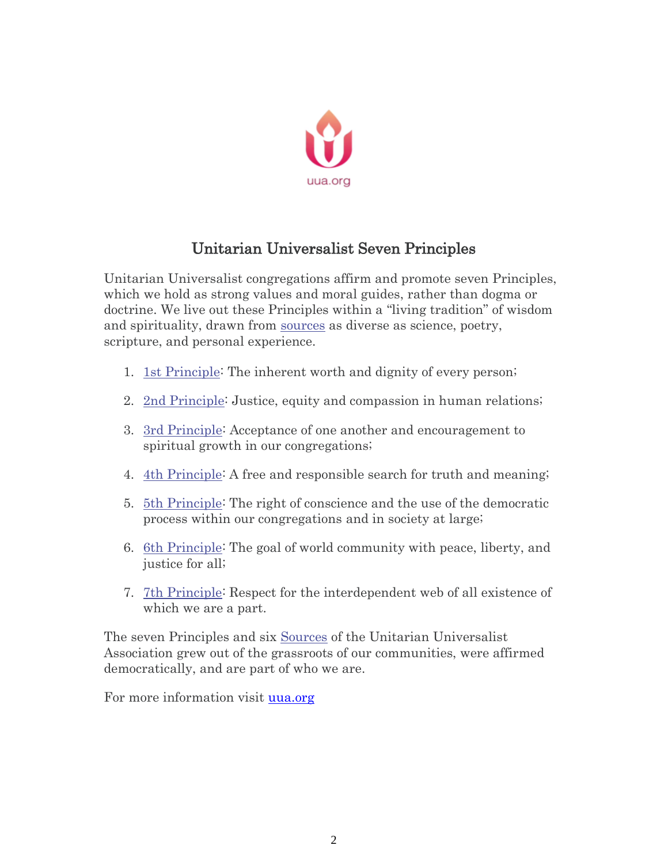

## Unitarian Universalist Seven Principles

Unitarian Universalist congregations affirm and promote seven Principles, which we hold as strong values and moral guides, rather than dogma or doctrine. We live out these Principles within a "living tradition" of wisdom and spirituality, drawn from [sources](https://www.uua.org/beliefs/what-we-believe/sources) as diverse as science, poetry, scripture, and personal experience.

- 1. [1st Principle:](https://www.uua.org/beliefs/what-we-believe/principles/1st) The inherent worth and dignity of every person;
- 2. [2nd Principle:](https://www.uua.org/beliefs/what-we-believe/principles/2nd) Justice, equity and compassion in human relations;
- 3. [3rd Principle:](https://www.uua.org/beliefs/what-we-believe/principles/3rd) Acceptance of one another and encouragement to spiritual growth in our congregations;
- 4. [4th Principle:](https://www.uua.org/beliefs/what-we-believe/principles/4th) A free and responsible search for truth and meaning;
- 5. [5th Principle:](https://www.uua.org/beliefs/what-we-believe/principles/5th) The right of conscience and the use of the democratic process within our congregations and in society at large;
- 6. [6th Principle:](https://www.uua.org/beliefs/what-we-believe/principles/6th) The goal of world community with peace, liberty, and justice for all;
- 7. [7th Principle:](https://www.uua.org/beliefs/what-we-believe/principles/7th) Respect for the interdependent web of all existence of which we are a part.

The seven Principles and six [Sources](https://www.uua.org/beliefs/what-we-believe/sources) of the Unitarian Universalist Association grew out of the grassroots of our communities, were affirmed democratically, and are part of who we are.

For more information visit [uua.org](mailto:info@uua.org)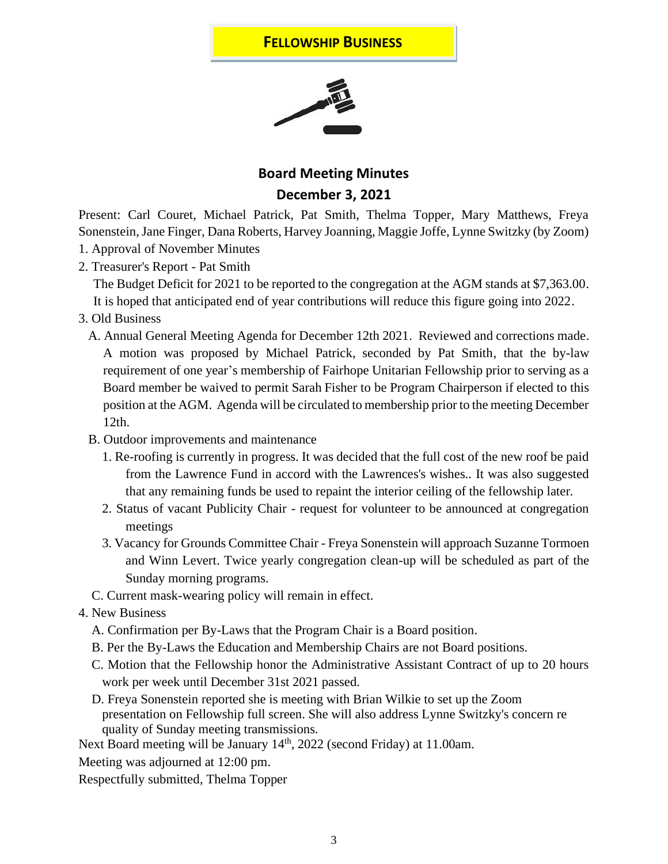## **FELLOWSHIP BUSINESS**



## **Board Meeting Minutes December 3, 2021**

Present: Carl Couret, Michael Patrick, Pat Smith, Thelma Topper, Mary Matthews, Freya Sonenstein, Jane Finger, Dana Roberts, Harvey Joanning, Maggie Joffe, Lynne Switzky (by Zoom) 1. Approval of November Minutes

2. Treasurer's Report - Pat Smith

The Budget Deficit for 2021 to be reported to the congregation at the AGM stands at \$7,363.00.

It is hoped that anticipated end of year contributions will reduce this figure going into 2022.

- 3. Old Business
	- A. Annual General Meeting Agenda for December 12th 2021. Reviewed and corrections made. A motion was proposed by Michael Patrick, seconded by Pat Smith, that the by-law requirement of one year's membership of Fairhope Unitarian Fellowship prior to serving as a Board member be waived to permit Sarah Fisher to be Program Chairperson if elected to this position at the AGM. Agenda will be circulated to membership prior to the meeting December 12th.
	- B. Outdoor improvements and maintenance
		- 1. Re-roofing is currently in progress. It was decided that the full cost of the new roof be paid from the Lawrence Fund in accord with the Lawrences's wishes.. It was also suggested that any remaining funds be used to repaint the interior ceiling of the fellowship later.
		- 2. Status of vacant Publicity Chair request for volunteer to be announced at congregation meetings
		- 3. Vacancy for Grounds Committee Chair Freya Sonenstein will approach Suzanne Tormoen and Winn Levert. Twice yearly congregation clean-up will be scheduled as part of the Sunday morning programs.
	- C. Current mask-wearing policy will remain in effect.
- 4. New Business
	- A. Confirmation per By-Laws that the Program Chair is a Board position.
	- B. Per the By-Laws the Education and Membership Chairs are not Board positions.
	- C. Motion that the Fellowship honor the Administrative Assistant Contract of up to 20 hours work per week until December 31st 2021 passed.
	- D. Freya Sonenstein reported she is meeting with Brian Wilkie to set up the Zoom presentation on Fellowship full screen. She will also address Lynne Switzky's concern re quality of Sunday meeting transmissions.

Next Board meeting will be January 14<sup>th</sup>, 2022 (second Friday) at 11.00am.

Meeting was adjourned at 12:00 pm.

Respectfully submitted, Thelma Topper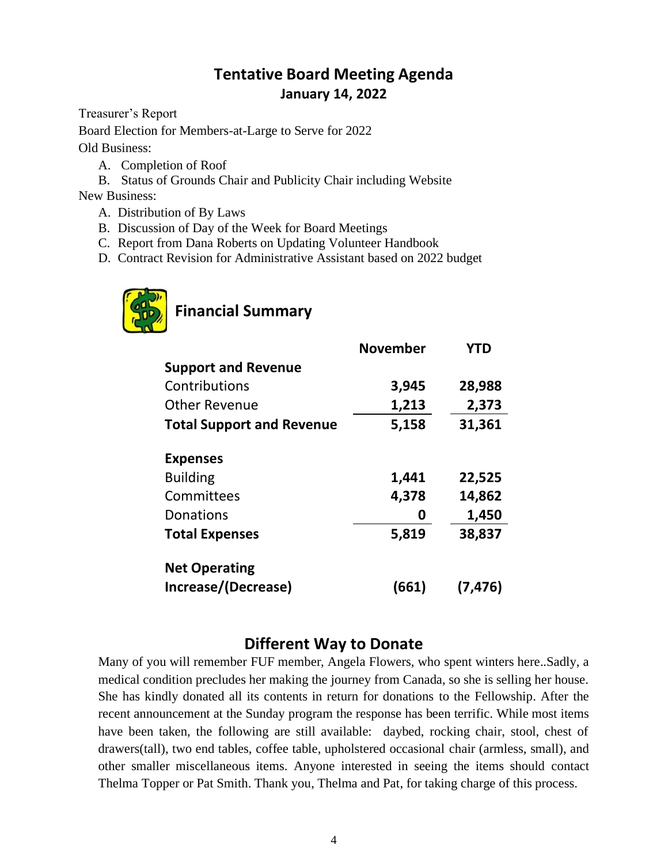## **Tentative Board Meeting Agenda January 14, 2022**

Treasurer's Report

Board Election for Members-at-Large to Serve for 2022

Old Business:

- A. Completion of Roof
- B. Status of Grounds Chair and Publicity Chair including Website

New Business:

- A. Distribution of By Laws
- B. Discussion of Day of the Week for Board Meetings
- C. Report from Dana Roberts on Updating Volunteer Handbook
- D. Contract Revision for Administrative Assistant based on 2022 budget



## **Financial Summary**

|                                  | <b>November</b> | <b>YTD</b> |
|----------------------------------|-----------------|------------|
| <b>Support and Revenue</b>       |                 |            |
| Contributions                    | 3,945           | 28,988     |
| <b>Other Revenue</b>             | 1,213           | 2,373      |
| <b>Total Support and Revenue</b> | 5,158           | 31,361     |
| <b>Expenses</b>                  |                 |            |
| <b>Building</b>                  | 1,441           | 22,525     |
| Committees                       | 4,378           | 14,862     |
| Donations                        | 0               | 1,450      |
| <b>Total Expenses</b>            | 5,819           | 38,837     |
| <b>Net Operating</b>             |                 |            |
| Increase/(Decrease)              | (661)           | (7, 476)   |

## **Different Way to Donate**

Many of you will remember FUF member, Angela Flowers, who spent winters here..Sadly, a medical condition precludes her making the journey from Canada, so she is selling her house. She has kindly donated all its contents in return for donations to the Fellowship. After the recent announcement at the Sunday program the response has been terrific. While most items have been taken, the following are still available: daybed, rocking chair, stool, chest of drawers(tall), two end tables, coffee table, upholstered occasional chair (armless, small), and other smaller miscellaneous items. Anyone interested in seeing the items should contact Thelma Topper or Pat Smith. Thank you, Thelma and Pat, for taking charge of this process.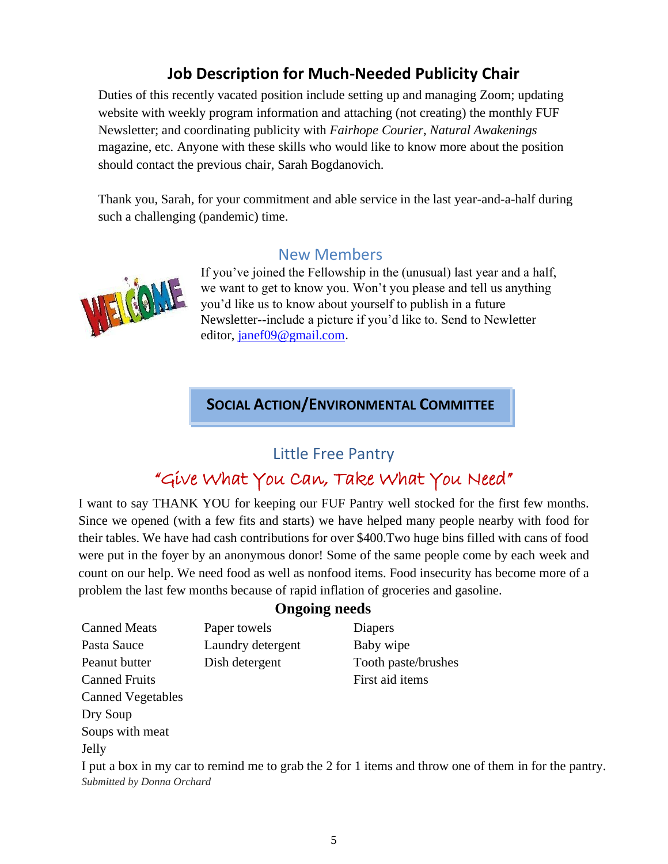## **Job Description for Much-Needed Publicity Chair**

Duties of this recently vacated position include setting up and managing Zoom; updating website with weekly program information and attaching (not creating) the monthly FUF Newsletter; and coordinating publicity with *Fairhope Courier*, *Natural Awakenings* magazine, etc. Anyone with these skills who would like to know more about the position should contact the previous chair, Sarah Bogdanovich.

Thank you, Sarah, for your commitment and able service in the last year-and-a-half during such a challenging (pandemic) time.

## New Members



If you've joined the Fellowship in the (unusual) last year and a half, we want to get to know you. Won't you please and tell us anything you'd like us to know about yourself to publish in a future Newsletter--include a picture if you'd like to. Send to Newletter editor, janef09@gmail.com.

## **SOCIAL ACTION/ENVIRONMENTAL COMMITTEE**

## Little Free Pantry

# "Give What You Can, Take What You Need"

I want to say THANK YOU for keeping our FUF Pantry well stocked for the first few months. Since we opened (with a few fits and starts) we have helped many people nearby with food for their tables. We have had cash contributions for over \$400.Two huge bins filled with cans of food were put in the foyer by an anonymous donor! Some of the same people come by each week and count on our help. We need food as well as nonfood items. Food insecurity has become more of a problem the last few months because of rapid inflation of groceries and gasoline.

## **Ongoing needs**

Canned Meats Paper towels Pasta Sauce Laundry detergent Peanut butter Dish detergent Canned Fruits Canned Vegetables Dry Soup Soups with meat Jelly Diapers Baby wipe Tooth paste/brushes First aid items I put a box in my car to remind me to grab the 2 for 1 items and throw one of them in for the pantry. *Submitted by Donna Orchard*